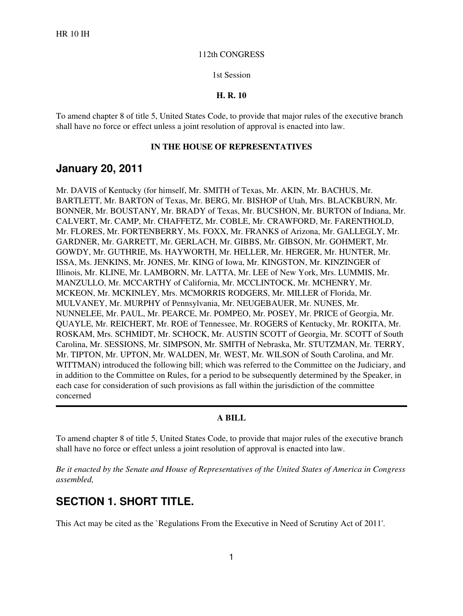#### 112th CONGRESS

1st Session

#### **H. R. 10**

To amend chapter 8 of title 5, United States Code, to provide that major rules of the executive branch shall have no force or effect unless a joint resolution of approval is enacted into law.

### **IN THE HOUSE OF REPRESENTATIVES**

## **January 20, 2011**

Mr. DAVIS of Kentucky (for himself, Mr. SMITH of Texas, Mr. AKIN, Mr. BACHUS, Mr. BARTLETT, Mr. BARTON of Texas, Mr. BERG, Mr. BISHOP of Utah, Mrs. BLACKBURN, Mr. BONNER, Mr. BOUSTANY, Mr. BRADY of Texas, Mr. BUCSHON, Mr. BURTON of Indiana, Mr. CALVERT, Mr. CAMP, Mr. CHAFFETZ, Mr. COBLE, Mr. CRAWFORD, Mr. FARENTHOLD, Mr. FLORES, Mr. FORTENBERRY, Ms. FOXX, Mr. FRANKS of Arizona, Mr. GALLEGLY, Mr. GARDNER, Mr. GARRETT, Mr. GERLACH, Mr. GIBBS, Mr. GIBSON, Mr. GOHMERT, Mr. GOWDY, Mr. GUTHRIE, Ms. HAYWORTH, Mr. HELLER, Mr. HERGER, Mr. HUNTER, Mr. ISSA, Ms. JENKINS, Mr. JONES, Mr. KING of Iowa, Mr. KINGSTON, Mr. KINZINGER of Illinois, Mr. KLINE, Mr. LAMBORN, Mr. LATTA, Mr. LEE of New York, Mrs. LUMMIS, Mr. MANZULLO, Mr. MCCARTHY of California, Mr. MCCLINTOCK, Mr. MCHENRY, Mr. MCKEON, Mr. MCKINLEY, Mrs. MCMORRIS RODGERS, Mr. MILLER of Florida, Mr. MULVANEY, Mr. MURPHY of Pennsylvania, Mr. NEUGEBAUER, Mr. NUNES, Mr. NUNNELEE, Mr. PAUL, Mr. PEARCE, Mr. POMPEO, Mr. POSEY, Mr. PRICE of Georgia, Mr. QUAYLE, Mr. REICHERT, Mr. ROE of Tennessee, Mr. ROGERS of Kentucky, Mr. ROKITA, Mr. ROSKAM, Mrs. SCHMIDT, Mr. SCHOCK, Mr. AUSTIN SCOTT of Georgia, Mr. SCOTT of South Carolina, Mr. SESSIONS, Mr. SIMPSON, Mr. SMITH of Nebraska, Mr. STUTZMAN, Mr. TERRY, Mr. TIPTON, Mr. UPTON, Mr. WALDEN, Mr. WEST, Mr. WILSON of South Carolina, and Mr. WITTMAN) introduced the following bill; which was referred to the Committee on the Judiciary, and in addition to the Committee on Rules, for a period to be subsequently determined by the Speaker, in each case for consideration of such provisions as fall within the jurisdiction of the committee concerned

### **A BILL**

To amend chapter 8 of title 5, United States Code, to provide that major rules of the executive branch shall have no force or effect unless a joint resolution of approval is enacted into law.

*Be it enacted by the Senate and House of Representatives of the United States of America in Congress assembled,*

## **SECTION 1. SHORT TITLE.**

This Act may be cited as the `Regulations From the Executive in Need of Scrutiny Act of 2011'.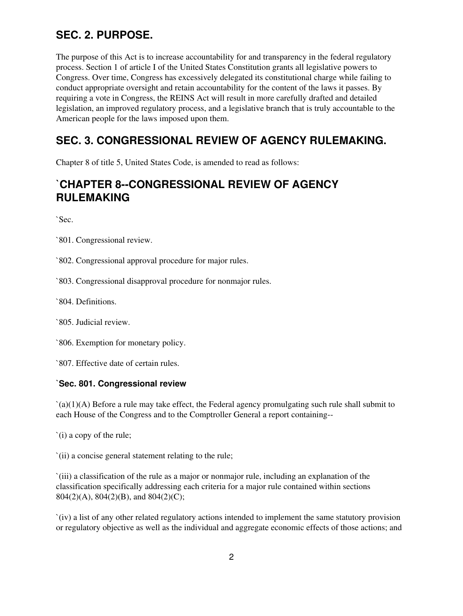# **SEC. 2. PURPOSE.**

The purpose of this Act is to increase accountability for and transparency in the federal regulatory process. Section 1 of article I of the United States Constitution grants all legislative powers to Congress. Over time, Congress has excessively delegated its constitutional charge while failing to conduct appropriate oversight and retain accountability for the content of the laws it passes. By requiring a vote in Congress, the REINS Act will result in more carefully drafted and detailed legislation, an improved regulatory process, and a legislative branch that is truly accountable to the American people for the laws imposed upon them.

# **SEC. 3. CONGRESSIONAL REVIEW OF AGENCY RULEMAKING.**

Chapter 8 of title 5, United States Code, is amended to read as follows:

## **`CHAPTER 8--CONGRESSIONAL REVIEW OF AGENCY RULEMAKING**

`Sec.

`801. Congressional review.

`802. Congressional approval procedure for major rules.

`803. Congressional disapproval procedure for nonmajor rules.

`804. Definitions.

`805. Judicial review.

`806. Exemption for monetary policy.

`807. Effective date of certain rules.

## **`Sec. 801. Congressional review**

 $\Gamma(a)(1)(A)$  Before a rule may take effect, the Federal agency promulgating such rule shall submit to each House of the Congress and to the Comptroller General a report containing--

`(i) a copy of the rule;

`(ii) a concise general statement relating to the rule;

`(iii) a classification of the rule as a major or nonmajor rule, including an explanation of the classification specifically addressing each criteria for a major rule contained within sections 804(2)(A), 804(2)(B), and 804(2)(C);

`(iv) a list of any other related regulatory actions intended to implement the same statutory provision or regulatory objective as well as the individual and aggregate economic effects of those actions; and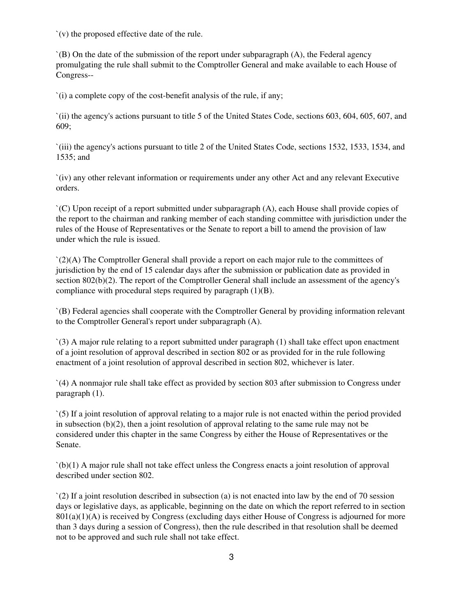`(v) the proposed effective date of the rule.

 $\Gamma(B)$  On the date of the submission of the report under subparagraph (A), the Federal agency promulgating the rule shall submit to the Comptroller General and make available to each House of Congress--

`(i) a complete copy of the cost-benefit analysis of the rule, if any;

`(ii) the agency's actions pursuant to title 5 of the United States Code, sections 603, 604, 605, 607, and 609;

`(iii) the agency's actions pursuant to title 2 of the United States Code, sections 1532, 1533, 1534, and 1535; and

`(iv) any other relevant information or requirements under any other Act and any relevant Executive orders.

`(C) Upon receipt of a report submitted under subparagraph (A), each House shall provide copies of the report to the chairman and ranking member of each standing committee with jurisdiction under the rules of the House of Representatives or the Senate to report a bill to amend the provision of law under which the rule is issued.

`(2)(A) The Comptroller General shall provide a report on each major rule to the committees of jurisdiction by the end of 15 calendar days after the submission or publication date as provided in section 802(b)(2). The report of the Comptroller General shall include an assessment of the agency's compliance with procedural steps required by paragraph  $(1)(B)$ .

`(B) Federal agencies shall cooperate with the Comptroller General by providing information relevant to the Comptroller General's report under subparagraph (A).

`(3) A major rule relating to a report submitted under paragraph (1) shall take effect upon enactment of a joint resolution of approval described in section 802 or as provided for in the rule following enactment of a joint resolution of approval described in section 802, whichever is later.

`(4) A nonmajor rule shall take effect as provided by section 803 after submission to Congress under paragraph (1).

`(5) If a joint resolution of approval relating to a major rule is not enacted within the period provided in subsection  $(b)(2)$ , then a joint resolution of approval relating to the same rule may not be considered under this chapter in the same Congress by either the House of Representatives or the Senate.

 $(b)(1)$  A major rule shall not take effect unless the Congress enacts a joint resolution of approval described under section 802.

 $\zeta(2)$  If a joint resolution described in subsection (a) is not enacted into law by the end of 70 session days or legislative days, as applicable, beginning on the date on which the report referred to in section  $801(a)(1)(A)$  is received by Congress (excluding days either House of Congress is adjourned for more than 3 days during a session of Congress), then the rule described in that resolution shall be deemed not to be approved and such rule shall not take effect.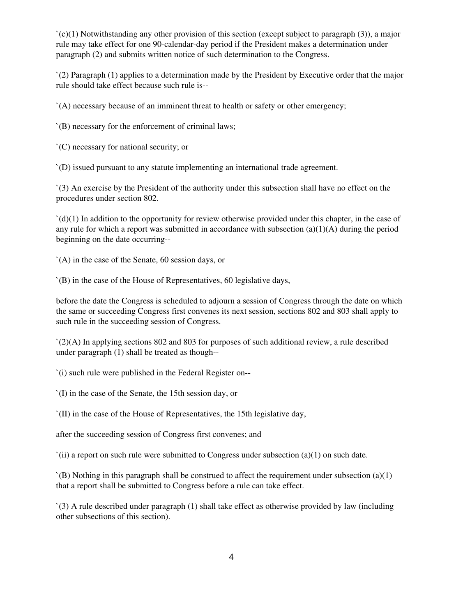$(c)(1)$  Notwithstanding any other provision of this section (except subject to paragraph (3)), a major rule may take effect for one 90-calendar-day period if the President makes a determination under paragraph (2) and submits written notice of such determination to the Congress.

`(2) Paragraph (1) applies to a determination made by the President by Executive order that the major rule should take effect because such rule is--

`(A) necessary because of an imminent threat to health or safety or other emergency;

`(B) necessary for the enforcement of criminal laws;

`(C) necessary for national security; or

`(D) issued pursuant to any statute implementing an international trade agreement.

`(3) An exercise by the President of the authority under this subsection shall have no effect on the procedures under section 802.

 $(d)(1)$  In addition to the opportunity for review otherwise provided under this chapter, in the case of any rule for which a report was submitted in accordance with subsection  $(a)(1)(A)$  during the period beginning on the date occurring--

`(A) in the case of the Senate, 60 session days, or

`(B) in the case of the House of Representatives, 60 legislative days,

before the date the Congress is scheduled to adjourn a session of Congress through the date on which the same or succeeding Congress first convenes its next session, sections 802 and 803 shall apply to such rule in the succeeding session of Congress.

`(2)(A) In applying sections 802 and 803 for purposes of such additional review, a rule described under paragraph (1) shall be treated as though--

`(i) such rule were published in the Federal Register on--

`(I) in the case of the Senate, the 15th session day, or

`(II) in the case of the House of Representatives, the 15th legislative day,

after the succeeding session of Congress first convenes; and

 $\tilde{f}$  (ii) a report on such rule were submitted to Congress under subsection (a)(1) on such date.

 $\Gamma(B)$  Nothing in this paragraph shall be construed to affect the requirement under subsection (a)(1) that a report shall be submitted to Congress before a rule can take effect.

`(3) A rule described under paragraph (1) shall take effect as otherwise provided by law (including other subsections of this section).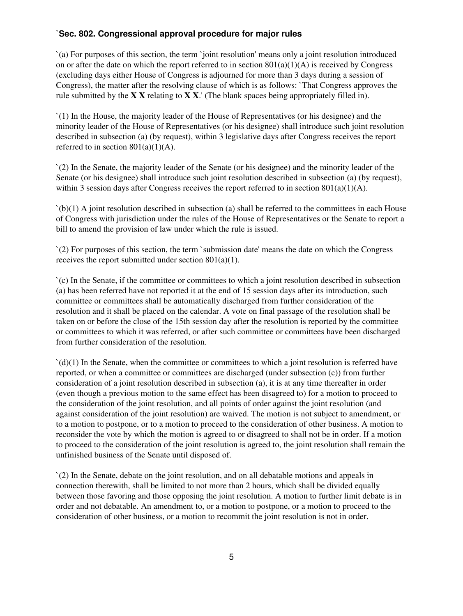## **`Sec. 802. Congressional approval procedure for major rules**

`(a) For purposes of this section, the term `joint resolution' means only a joint resolution introduced on or after the date on which the report referred to in section  $801(a)(1)(A)$  is received by Congress (excluding days either House of Congress is adjourned for more than 3 days during a session of Congress), the matter after the resolving clause of which is as follows: `That Congress approves the rule submitted by the **X X** relating to **X X**.' (The blank spaces being appropriately filled in).

`(1) In the House, the majority leader of the House of Representatives (or his designee) and the minority leader of the House of Representatives (or his designee) shall introduce such joint resolution described in subsection (a) (by request), within 3 legislative days after Congress receives the report referred to in section  $801(a)(1)(A)$ .

`(2) In the Senate, the majority leader of the Senate (or his designee) and the minority leader of the Senate (or his designee) shall introduce such joint resolution described in subsection (a) (by request), within 3 session days after Congress receives the report referred to in section  $801(a)(1)(A)$ .

 $(b)(1)$  A joint resolution described in subsection (a) shall be referred to the committees in each House of Congress with jurisdiction under the rules of the House of Representatives or the Senate to report a bill to amend the provision of law under which the rule is issued.

`(2) For purposes of this section, the term `submission date' means the date on which the Congress receives the report submitted under section 801(a)(1).

`(c) In the Senate, if the committee or committees to which a joint resolution described in subsection (a) has been referred have not reported it at the end of 15 session days after its introduction, such committee or committees shall be automatically discharged from further consideration of the resolution and it shall be placed on the calendar. A vote on final passage of the resolution shall be taken on or before the close of the 15th session day after the resolution is reported by the committee or committees to which it was referred, or after such committee or committees have been discharged from further consideration of the resolution.

 $\dot{\mathcal{C}}(d)(1)$  In the Senate, when the committee or committees to which a joint resolution is referred have reported, or when a committee or committees are discharged (under subsection (c)) from further consideration of a joint resolution described in subsection (a), it is at any time thereafter in order (even though a previous motion to the same effect has been disagreed to) for a motion to proceed to the consideration of the joint resolution, and all points of order against the joint resolution (and against consideration of the joint resolution) are waived. The motion is not subject to amendment, or to a motion to postpone, or to a motion to proceed to the consideration of other business. A motion to reconsider the vote by which the motion is agreed to or disagreed to shall not be in order. If a motion to proceed to the consideration of the joint resolution is agreed to, the joint resolution shall remain the unfinished business of the Senate until disposed of.

`(2) In the Senate, debate on the joint resolution, and on all debatable motions and appeals in connection therewith, shall be limited to not more than 2 hours, which shall be divided equally between those favoring and those opposing the joint resolution. A motion to further limit debate is in order and not debatable. An amendment to, or a motion to postpone, or a motion to proceed to the consideration of other business, or a motion to recommit the joint resolution is not in order.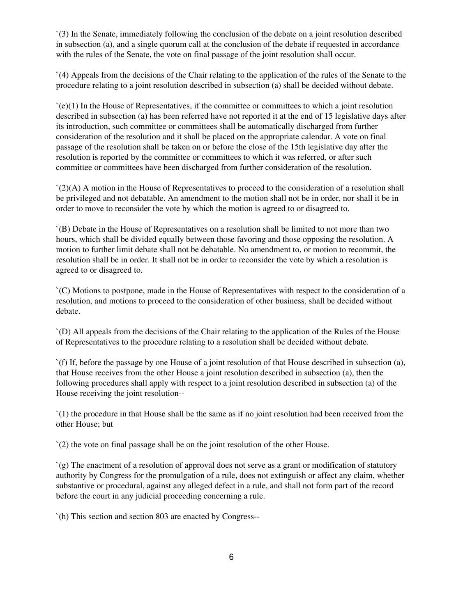`(3) In the Senate, immediately following the conclusion of the debate on a joint resolution described in subsection (a), and a single quorum call at the conclusion of the debate if requested in accordance with the rules of the Senate, the vote on final passage of the joint resolution shall occur.

`(4) Appeals from the decisions of the Chair relating to the application of the rules of the Senate to the procedure relating to a joint resolution described in subsection (a) shall be decided without debate.

 $\hat{\mathcal{C}}(e)(1)$  In the House of Representatives, if the committee or committees to which a joint resolution described in subsection (a) has been referred have not reported it at the end of 15 legislative days after its introduction, such committee or committees shall be automatically discharged from further consideration of the resolution and it shall be placed on the appropriate calendar. A vote on final passage of the resolution shall be taken on or before the close of the 15th legislative day after the resolution is reported by the committee or committees to which it was referred, or after such committee or committees have been discharged from further consideration of the resolution.

`(2)(A) A motion in the House of Representatives to proceed to the consideration of a resolution shall be privileged and not debatable. An amendment to the motion shall not be in order, nor shall it be in order to move to reconsider the vote by which the motion is agreed to or disagreed to.

`(B) Debate in the House of Representatives on a resolution shall be limited to not more than two hours, which shall be divided equally between those favoring and those opposing the resolution. A motion to further limit debate shall not be debatable. No amendment to, or motion to recommit, the resolution shall be in order. It shall not be in order to reconsider the vote by which a resolution is agreed to or disagreed to.

`(C) Motions to postpone, made in the House of Representatives with respect to the consideration of a resolution, and motions to proceed to the consideration of other business, shall be decided without debate.

`(D) All appeals from the decisions of the Chair relating to the application of the Rules of the House of Representatives to the procedure relating to a resolution shall be decided without debate.

`(f) If, before the passage by one House of a joint resolution of that House described in subsection (a), that House receives from the other House a joint resolution described in subsection (a), then the following procedures shall apply with respect to a joint resolution described in subsection (a) of the House receiving the joint resolution--

`(1) the procedure in that House shall be the same as if no joint resolution had been received from the other House; but

`(2) the vote on final passage shall be on the joint resolution of the other House.

`(g) The enactment of a resolution of approval does not serve as a grant or modification of statutory authority by Congress for the promulgation of a rule, does not extinguish or affect any claim, whether substantive or procedural, against any alleged defect in a rule, and shall not form part of the record before the court in any judicial proceeding concerning a rule.

`(h) This section and section 803 are enacted by Congress--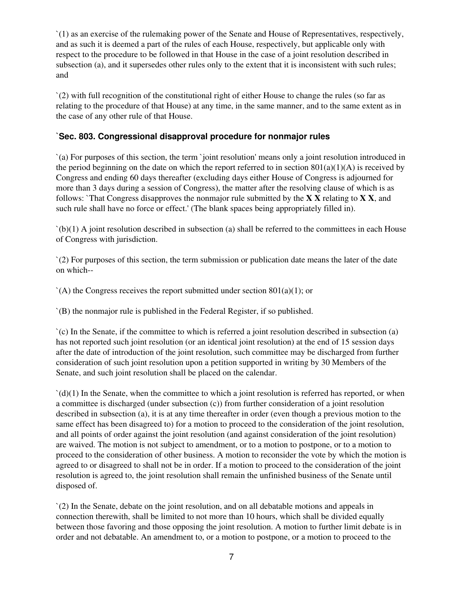`(1) as an exercise of the rulemaking power of the Senate and House of Representatives, respectively, and as such it is deemed a part of the rules of each House, respectively, but applicable only with respect to the procedure to be followed in that House in the case of a joint resolution described in subsection (a), and it supersedes other rules only to the extent that it is inconsistent with such rules; and

`(2) with full recognition of the constitutional right of either House to change the rules (so far as relating to the procedure of that House) at any time, in the same manner, and to the same extent as in the case of any other rule of that House.

### **`Sec. 803. Congressional disapproval procedure for nonmajor rules**

`(a) For purposes of this section, the term `joint resolution' means only a joint resolution introduced in the period beginning on the date on which the report referred to in section  $801(a)(1)(A)$  is received by Congress and ending 60 days thereafter (excluding days either House of Congress is adjourned for more than 3 days during a session of Congress), the matter after the resolving clause of which is as follows: `That Congress disapproves the nonmajor rule submitted by the **X X** relating to **X X**, and such rule shall have no force or effect.' (The blank spaces being appropriately filled in).

 $(b)(1)$  A joint resolution described in subsection (a) shall be referred to the committees in each House of Congress with jurisdiction.

`(2) For purposes of this section, the term submission or publication date means the later of the date on which--

 $\Gamma(A)$  the Congress receives the report submitted under section 801(a)(1); or

`(B) the nonmajor rule is published in the Federal Register, if so published.

`(c) In the Senate, if the committee to which is referred a joint resolution described in subsection (a) has not reported such joint resolution (or an identical joint resolution) at the end of 15 session days after the date of introduction of the joint resolution, such committee may be discharged from further consideration of such joint resolution upon a petition supported in writing by 30 Members of the Senate, and such joint resolution shall be placed on the calendar.

 $\dot{\mathcal{C}}(d)(1)$  In the Senate, when the committee to which a joint resolution is referred has reported, or when a committee is discharged (under subsection (c)) from further consideration of a joint resolution described in subsection (a), it is at any time thereafter in order (even though a previous motion to the same effect has been disagreed to) for a motion to proceed to the consideration of the joint resolution, and all points of order against the joint resolution (and against consideration of the joint resolution) are waived. The motion is not subject to amendment, or to a motion to postpone, or to a motion to proceed to the consideration of other business. A motion to reconsider the vote by which the motion is agreed to or disagreed to shall not be in order. If a motion to proceed to the consideration of the joint resolution is agreed to, the joint resolution shall remain the unfinished business of the Senate until disposed of.

`(2) In the Senate, debate on the joint resolution, and on all debatable motions and appeals in connection therewith, shall be limited to not more than 10 hours, which shall be divided equally between those favoring and those opposing the joint resolution. A motion to further limit debate is in order and not debatable. An amendment to, or a motion to postpone, or a motion to proceed to the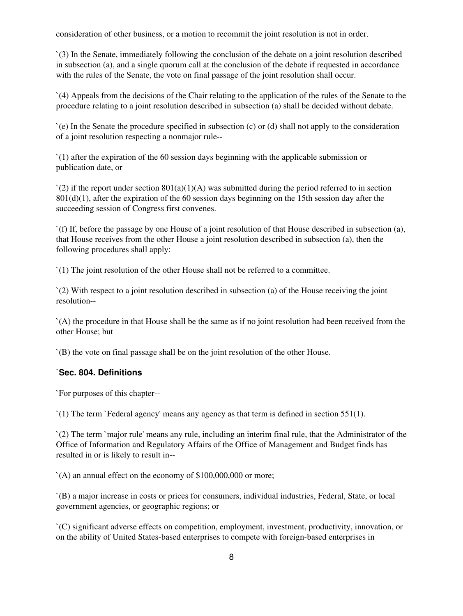consideration of other business, or a motion to recommit the joint resolution is not in order.

`(3) In the Senate, immediately following the conclusion of the debate on a joint resolution described in subsection (a), and a single quorum call at the conclusion of the debate if requested in accordance with the rules of the Senate, the vote on final passage of the joint resolution shall occur.

`(4) Appeals from the decisions of the Chair relating to the application of the rules of the Senate to the procedure relating to a joint resolution described in subsection (a) shall be decided without debate.

`(e) In the Senate the procedure specified in subsection (c) or (d) shall not apply to the consideration of a joint resolution respecting a nonmajor rule--

`(1) after the expiration of the 60 session days beginning with the applicable submission or publication date, or

 $(2)$  if the report under section 801(a)(1)(A) was submitted during the period referred to in section  $801(d)(1)$ , after the expiration of the 60 session days beginning on the 15th session day after the succeeding session of Congress first convenes.

`(f) If, before the passage by one House of a joint resolution of that House described in subsection (a), that House receives from the other House a joint resolution described in subsection (a), then the following procedures shall apply:

`(1) The joint resolution of the other House shall not be referred to a committee.

`(2) With respect to a joint resolution described in subsection (a) of the House receiving the joint resolution--

`(A) the procedure in that House shall be the same as if no joint resolution had been received from the other House; but

`(B) the vote on final passage shall be on the joint resolution of the other House.

### **`Sec. 804. Definitions**

`For purposes of this chapter--

`(1) The term `Federal agency' means any agency as that term is defined in section 551(1).

`(2) The term `major rule' means any rule, including an interim final rule, that the Administrator of the Office of Information and Regulatory Affairs of the Office of Management and Budget finds has resulted in or is likely to result in--

`(A) an annual effect on the economy of \$100,000,000 or more;

`(B) a major increase in costs or prices for consumers, individual industries, Federal, State, or local government agencies, or geographic regions; or

`(C) significant adverse effects on competition, employment, investment, productivity, innovation, or on the ability of United States-based enterprises to compete with foreign-based enterprises in